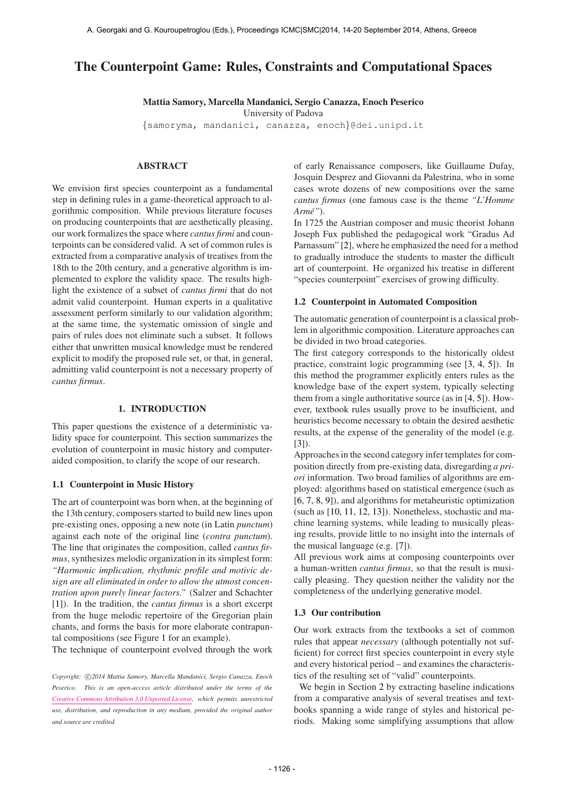# The Counterpoint Game: Rules, Constraints and Computational Spaces

Mattia Samory, Marcella Mandanici, Sergio Canazza, Enoch Peserico

University of Padova

{[samoryma,](mailto:samoryma@dei.unipd.it) [mandanici,](mailto:mandanici@dei.unipd.it) [canazza,](mailto:canazza@dei.unipd.it) [enoch](mailto:enoch@dei.unipd.it)}@dei.unipd.it

# ABSTRACT

We envision first species counterpoint as a fundamental step in defining rules in a game-theoretical approach to algorithmic composition. While previous literature focuses on producing counterpoints that are aesthetically pleasing, our work formalizes the space where *cantus firmi* and counterpoints can be considered valid. A set of common rules is extracted from a comparative analysis of treatises from the 18th to the 20th century, and a generative algorithm is implemented to explore the validity space. The results highlight the existence of a subset of *cantus firmi* that do not admit valid counterpoint. Human experts in a qualitative assessment perform similarly to our validation algorithm; at the same time, the systematic omission of single and pairs of rules does not eliminate such a subset. It follows either that unwritten musical knowledge must be rendered explicit to modify the proposed rule set, or that, in general, admitting valid counterpoint is not a necessary property of *cantus firmus*.

## 1. INTRODUCTION

This paper questions the existence of a deterministic validity space for counterpoint. This section summarizes the evolution of counterpoint in music history and computeraided composition, to clarify the scope of our research.

## 1.1 Counterpoint in Music History

The art of counterpoint was born when, at the beginning of the 13th century, composers started to build new lines upon pre-existing ones, opposing a new note (in Latin *punctum*) against each note of the original line (*contra punctum*). The line that originates the composition, called *cantus firmus*, synthesizes melodic organization in its simplest form: *"Harmonic implication, rhythmic profile and motivic design are all eliminated in order to allow the utmost concentration upon purely linear factors."* (Salzer and Schachter [1]). In the tradition, the *cantus firmus* is a short excerpt from the huge melodic repertoire of the Gregorian plain chants, and forms the basis for more elaborate contrapuntal compositions (see Figure 1 for an example).

The technique of counterpoint evolved through the work

of early Renaissance composers, like Guillaume Dufay, Josquin Desprez and Giovanni da Palestrina, who in some cases wrote dozens of new compositions over the same *cantus firmus* (one famous case is the theme *"L'Homme Arme"´* ).

In 1725 the Austrian composer and music theorist Johann Joseph Fux published the pedagogical work "Gradus Ad Parnassum" [2], where he emphasized the need for a method to gradually introduce the students to master the difficult art of counterpoint. He organized his treatise in different "species counterpoint" exercises of growing difficulty.

### 1.2 Counterpoint in Automated Composition

The automatic generation of counterpoint is a classical problem in algorithmic composition. Literature approaches can be divided in two broad categories.

The first category corresponds to the historically oldest practice, constraint logic programming (see [3, 4, 5]). In this method the programmer explicitly enters rules as the knowledge base of the expert system, typically selecting them from a single authoritative source (as in [4, 5]). However, textbook rules usually prove to be insufficient, and heuristics become necessary to obtain the desired aesthetic results, at the expense of the generality of the model (e.g. [3]).

Approaches in the second category infer templates for composition directly from pre-existing data, disregarding *a priori* information. Two broad families of algorithms are employed: algorithms based on statistical emergence (such as [6, 7, 8, 9]), and algorithms for metaheuristic optimization (such as [10, 11, 12, 13]). Nonetheless, stochastic and machine learning systems, while leading to musically pleasing results, provide little to no insight into the internals of the musical language (e.g. [7]).

All previous work aims at composing counterpoints over a human-written *cantus firmus*, so that the result is musically pleasing. They question neither the validity nor the completeness of the underlying generative model.

## 1.3 Our contribution

Our work extracts from the textbooks a set of common rules that appear *necessary* (although potentially not sufficient) for correct first species counterpoint in every style and every historical period – and examines the characteristics of the resulting set of "valid" counterpoints.

We begin in Section 2 by extracting baseline indications from a comparative analysis of several treatises and textbooks spanning a wide range of styles and historical periods. Making some simplifying assumptions that allow

Copyright:  $\bigcirc$ 2014 Mattia Samory, Marcella Mandanici, Sergio Canazza, Enoch *Peserico. This is an open-access article distributed under the terms of the [Creative Commons Attribution 3.0 Unported License,](http://creativecommons.org/licenses/by/3.0/) which permits unrestricted use, distribution, and reproduction in any medium, provided the original author and source are credited.*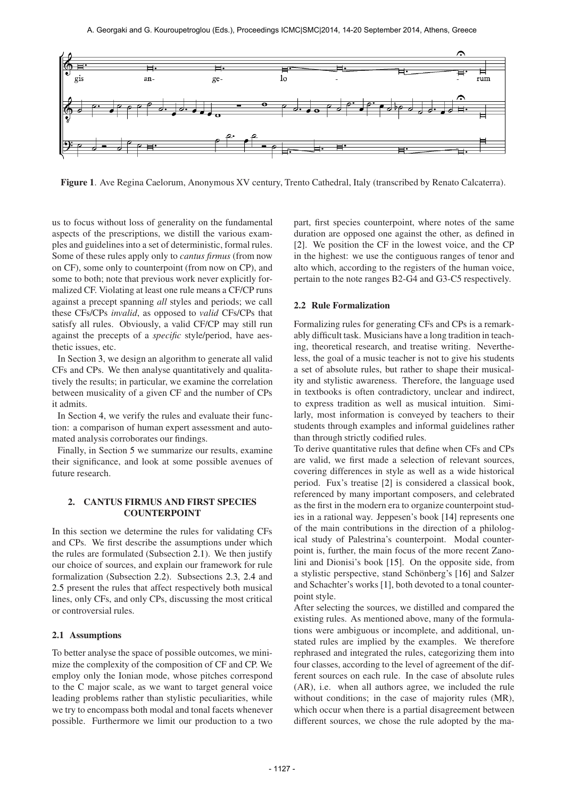

Figure 1. Ave Regina Caelorum, Anonymous XV century, Trento Cathedral, Italy (transcribed by Renato Calcaterra).

us to focus without loss of generality on the fundamental aspects of the prescriptions, we distill the various examples and guidelines into a set of deterministic, formal rules. Some of these rules apply only to *cantus firmus* (from now on CF), some only to counterpoint (from now on CP), and some to both; note that previous work never explicitly formalized CF. Violating at least one rule means a CF/CP runs against a precept spanning *all* styles and periods; we call these CFs/CPs *invalid*, as opposed to *valid* CFs/CPs that satisfy all rules. Obviously, a valid CF/CP may still run against the precepts of a *specific* style/period, have aesthetic issues, etc.

In Section 3, we design an algorithm to generate all valid CFs and CPs. We then analyse quantitatively and qualitatively the results; in particular, we examine the correlation between musicality of a given CF and the number of CPs it admits.

In Section 4, we verify the rules and evaluate their function: a comparison of human expert assessment and automated analysis corroborates our findings.

Finally, in Section 5 we summarize our results, examine their significance, and look at some possible avenues of future research.

# 2. CANTUS FIRMUS AND FIRST SPECIES COUNTERPOINT

In this section we determine the rules for validating CFs and CPs. We first describe the assumptions under which the rules are formulated (Subsection 2.1). We then justify our choice of sources, and explain our framework for rule formalization (Subsection 2.2). Subsections 2.3, 2.4 and 2.5 present the rules that affect respectively both musical lines, only CFs, and only CPs, discussing the most critical or controversial rules.

# 2.1 Assumptions

To better analyse the space of possible outcomes, we minimize the complexity of the composition of CF and CP. We employ only the Ionian mode, whose pitches correspond to the C major scale, as we want to target general voice leading problems rather than stylistic peculiarities, while we try to encompass both modal and tonal facets whenever possible. Furthermore we limit our production to a two

part, first species counterpoint, where notes of the same duration are opposed one against the other, as defined in [2]. We position the CF in the lowest voice, and the CP in the highest: we use the contiguous ranges of tenor and alto which, according to the registers of the human voice, pertain to the note ranges B2-G4 and G3-C5 respectively.

## 2.2 Rule Formalization

Formalizing rules for generating CFs and CPs is a remarkably difficult task. Musicians have a long tradition in teaching, theoretical research, and treatise writing. Nevertheless, the goal of a music teacher is not to give his students a set of absolute rules, but rather to shape their musicality and stylistic awareness. Therefore, the language used in textbooks is often contradictory, unclear and indirect, to express tradition as well as musical intuition. Similarly, most information is conveyed by teachers to their students through examples and informal guidelines rather than through strictly codified rules.

To derive quantitative rules that define when CFs and CPs are valid, we first made a selection of relevant sources, covering differences in style as well as a wide historical period. Fux's treatise [2] is considered a classical book, referenced by many important composers, and celebrated as the first in the modern era to organize counterpoint studies in a rational way. Jeppesen's book [14] represents one of the main contributions in the direction of a philological study of Palestrina's counterpoint. Modal counterpoint is, further, the main focus of the more recent Zanolini and Dionisi's book [15]. On the opposite side, from a stylistic perspective, stand Schönberg's [16] and Salzer and Schachter's works [1], both devoted to a tonal counterpoint style.

After selecting the sources, we distilled and compared the existing rules. As mentioned above, many of the formulations were ambiguous or incomplete, and additional, unstated rules are implied by the examples. We therefore rephrased and integrated the rules, categorizing them into four classes, according to the level of agreement of the different sources on each rule. In the case of absolute rules (AR), i.e. when all authors agree, we included the rule without conditions; in the case of majority rules (MR), which occur when there is a partial disagreement between different sources, we chose the rule adopted by the ma-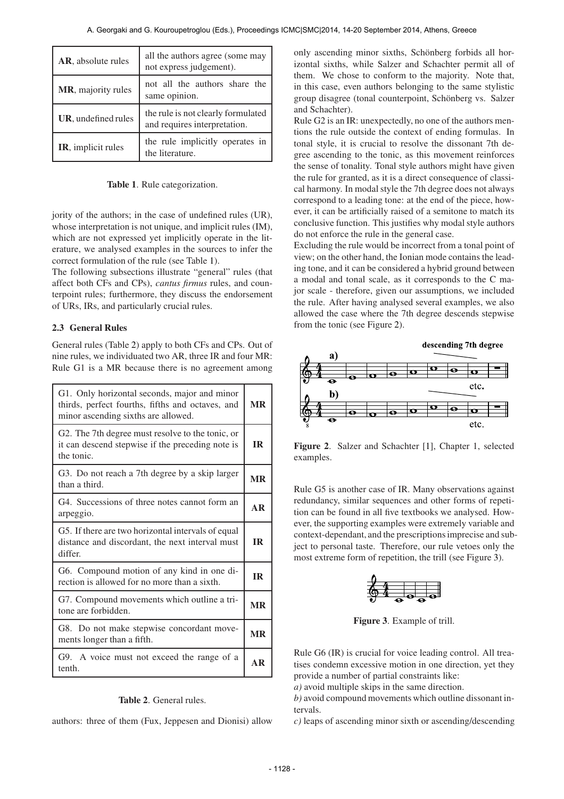| <b>AR</b> , absolute rules | all the authors agree (some may<br>not express judgement).         |
|----------------------------|--------------------------------------------------------------------|
| MR, majority rules         | not all the authors share the<br>same opinion.                     |
| UR, undefined rules        | the rule is not clearly formulated<br>and requires interpretation. |
| IR, implicit rules         | the rule implicitly operates in<br>the literature.                 |

Table 1. Rule categorization.

jority of the authors; in the case of undefined rules (UR), whose interpretation is not unique, and implicit rules (IM), which are not expressed yet implicitly operate in the literature, we analysed examples in the sources to infer the correct formulation of the rule (see Table 1).

The following subsections illustrate "general" rules (that affect both CFs and CPs), *cantus firmus* rules, and counterpoint rules; furthermore, they discuss the endorsement of URs, IRs, and particularly crucial rules.

# 2.3 General Rules

General rules (Table 2) apply to both CFs and CPs. Out of nine rules, we individuated two AR, three IR and four MR: Rule G1 is a MR because there is no agreement among

| G1. Only horizontal seconds, major and minor<br>thirds, perfect fourths, fifths and octaves, and<br>minor ascending sixths are allowed. |           |  |
|-----------------------------------------------------------------------------------------------------------------------------------------|-----------|--|
| G2. The 7th degree must resolve to the tonic, or<br>it can descend stepwise if the preceding note is<br>the tonic.                      |           |  |
| G3. Do not reach a 7th degree by a skip larger<br>than a third.                                                                         | <b>MR</b> |  |
| G4. Successions of three notes cannot form an<br>arpeggio.                                                                              |           |  |
| G5. If there are two horizontal intervals of equal<br>distance and discordant, the next interval must<br>differ.                        |           |  |
| G6. Compound motion of any kind in one di-<br>rection is allowed for no more than a sixth.                                              |           |  |
| G7. Compound movements which outline a tri-<br>tone are forbidden.                                                                      |           |  |
| G8. Do not make stepwise concordant move-<br>ments longer than a fifth.                                                                 |           |  |
| G9. A voice must not exceed the range of a<br>tenth.                                                                                    |           |  |

# Table 2. General rules.

authors: three of them (Fux, Jeppesen and Dionisi) allow

only ascending minor sixths, Schönberg forbids all horizontal sixths, while Salzer and Schachter permit all of them. We chose to conform to the majority. Note that, in this case, even authors belonging to the same stylistic group disagree (tonal counterpoint, Schönberg vs. Salzer and Schachter).

Rule G2 is an IR: unexpectedly, no one of the authors mentions the rule outside the context of ending formulas. In tonal style, it is crucial to resolve the dissonant 7th degree ascending to the tonic, as this movement reinforces the sense of tonality. Tonal style authors might have given the rule for granted, as it is a direct consequence of classical harmony. In modal style the 7th degree does not always correspond to a leading tone: at the end of the piece, however, it can be artificially raised of a semitone to match its conclusive function. This justifies why modal style authors do not enforce the rule in the general case.

Excluding the rule would be incorrect from a tonal point of view; on the other hand, the Ionian mode contains the leading tone, and it can be considered a hybrid ground between a modal and tonal scale, as it corresponds to the C major scale - therefore, given our assumptions, we included the rule. After having analysed several examples, we also allowed the case where the 7th degree descends stepwise from the tonic (see Figure 2).



Figure 2. Salzer and Schachter [1], Chapter 1, selected examples.

Rule G5 is another case of IR. Many observations against redundancy, similar sequences and other forms of repetition can be found in all five textbooks we analysed. However, the supporting examples were extremely variable and context-dependant, and the prescriptions imprecise and subject to personal taste. Therefore, our rule vetoes only the most extreme form of repetition, the trill (see Figure 3).



Figure 3. Example of trill.

Rule G6 (IR) is crucial for voice leading control. All treatises condemn excessive motion in one direction, yet they provide a number of partial constraints like:

*a)* avoid multiple skips in the same direction.

*b)* avoid compound movements which outline dissonant intervals.

*c)* leaps of ascending minor sixth or ascending/descending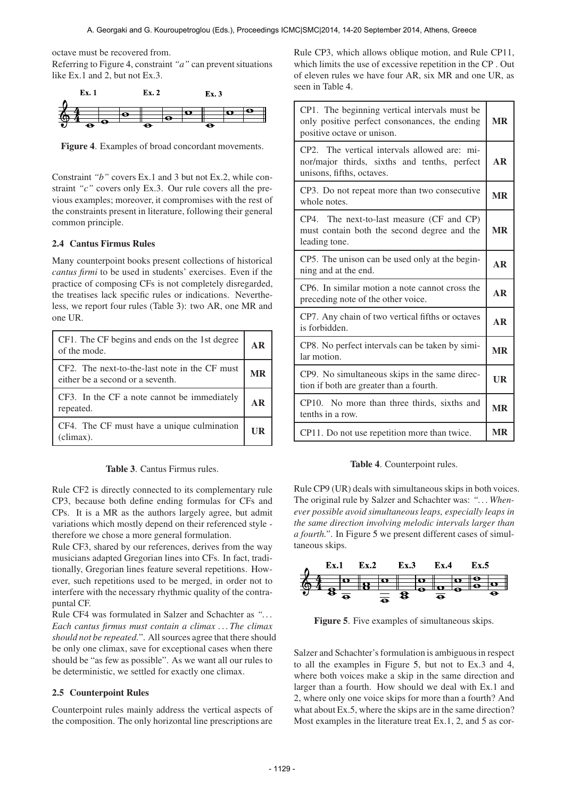octave must be recovered from.

Referring to Figure 4, constraint "*a*" can prevent situations like Ex.1 and 2, but not Ex.3.



Figure 4. Examples of broad concordant movements.

Constraint *"b"* covers Ex.1 and 3 but not Ex.2, while constraint *"c"* covers only Ex.3. Our rule covers all the previous examples; moreover, it compromises with the rest of the constraints present in literature, following their general common principle.

# 2.4 Cantus Firmus Rules

Many counterpoint books present collections of historical *cantus firmi* to be used in students' exercises. Even if the practice of composing CFs is not completely disregarded, the treatises lack specific rules or indications. Nevertheless, we report four rules (Table 3): two AR, one MR and one UR.

| CF1. The CF begins and ends on the 1st degree<br>of the mode.                     |  |
|-----------------------------------------------------------------------------------|--|
| CF2. The next-to-the-last note in the CF must<br>either be a second or a seventh. |  |
| CF3. In the CF a note cannot be immediately<br>repeated.                          |  |
| CF4. The CF must have a unique culmination<br>(climax).                           |  |

Table 3. Cantus Firmus rules.

Rule CF2 is directly connected to its complementary rule CP3, because both define ending formulas for CFs and CPs. It is a MR as the authors largely agree, but admit variations which mostly depend on their referenced style therefore we chose a more general formulation.

Rule CF3, shared by our references, derives from the way musicians adapted Gregorian lines into CFs. In fact, traditionally, Gregorian lines feature several repetitions. However, such repetitions used to be merged, in order not to interfere with the necessary rhythmic quality of the contrapuntal CF.

Rule CF4 was formulated in Salzer and Schachter as *". . . Each cantus firmus must contain a climax . . . The climax should not be repeated.*". All sources agree that there should be only one climax, save for exceptional cases when there should be "as few as possible". As we want all our rules to be deterministic, we settled for exactly one climax.

### 2.5 Counterpoint Rules

Counterpoint rules mainly address the vertical aspects of the composition. The only horizontal line prescriptions are

Rule CP3, which allows oblique motion, and Rule CP11, which limits the use of excessive repetition in the CP . Out of eleven rules we have four AR, six MR and one UR, as seen in Table 4.

| CP1. The beginning vertical intervals must be<br>only positive perfect consonances, the ending<br>positive octave or unison. |           |
|------------------------------------------------------------------------------------------------------------------------------|-----------|
| CP2. The vertical intervals allowed are: mi-<br>nor/major thirds, sixths and tenths, perfect<br>unisons, fifths, octaves.    | AR        |
| CP3. Do not repeat more than two consecutive<br>whole notes.                                                                 | <b>MR</b> |
| CP4. The next-to-last measure (CF and CP)<br>must contain both the second degree and the<br>leading tone.                    | <b>MR</b> |
| CP5. The unison can be used only at the begin-<br>ning and at the end.                                                       |           |
| CP6. In similar motion a note cannot cross the<br>preceding note of the other voice.                                         |           |
| CP7. Any chain of two vertical fifths or octaves<br>is forbidden.                                                            |           |
| CP8. No perfect intervals can be taken by simi-<br>lar motion.                                                               |           |
| CP9. No simultaneous skips in the same direc-<br>tion if both are greater than a fourth.                                     |           |
| CP10. No more than three thirds, sixths and<br>tenths in a row.                                                              |           |
| CP11. Do not use repetition more than twice.                                                                                 |           |

#### Table 4. Counterpoint rules.

Rule CP9 (UR) deals with simultaneous skips in both voices. The original rule by Salzer and Schachter was: *". . . Whenever possible avoid simultaneous leaps, especially leaps in the same direction involving melodic intervals larger than a fourth."*. In Figure 5 we present different cases of simultaneous skips.



Figure 5. Five examples of simultaneous skips.

Salzer and Schachter's formulation is ambiguous in respect to all the examples in Figure 5, but not to Ex.3 and 4, where both voices make a skip in the same direction and larger than a fourth. How should we deal with Ex.1 and 2, where only one voice skips for more than a fourth? And what about Ex.5, where the skips are in the same direction? Most examples in the literature treat Ex.1, 2, and 5 as cor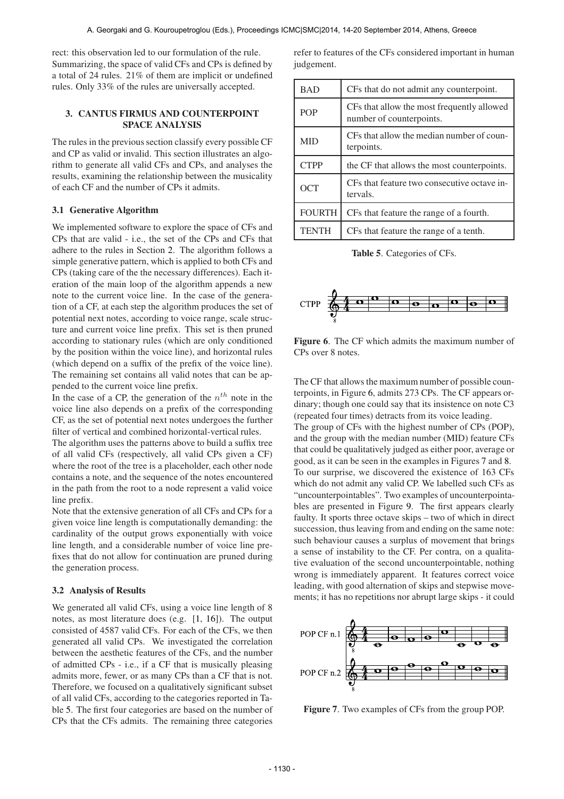rect: this observation led to our formulation of the rule. Summarizing, the space of valid CFs and CPs is defined by a total of 24 rules. 21% of them are implicit or undefined rules. Only 33% of the rules are universally accepted.

# 3. CANTUS FIRMUS AND COUNTERPOINT SPACE ANALYSIS

The rules in the previous section classify every possible CF and CP as valid or invalid. This section illustrates an algorithm to generate all valid CFs and CPs, and analyses the results, examining the relationship between the musicality of each CF and the number of CPs it admits.

### 3.1 Generative Algorithm

We implemented software to explore the space of CFs and CPs that are valid - i.e., the set of the CPs and CFs that adhere to the rules in Section 2. The algorithm follows a simple generative pattern, which is applied to both CFs and CPs (taking care of the the necessary differences). Each iteration of the main loop of the algorithm appends a new note to the current voice line. In the case of the generation of a CF, at each step the algorithm produces the set of potential next notes, according to voice range, scale structure and current voice line prefix. This set is then pruned according to stationary rules (which are only conditioned by the position within the voice line), and horizontal rules (which depend on a suffix of the prefix of the voice line). The remaining set contains all valid notes that can be appended to the current voice line prefix.

In the case of a CP, the generation of the  $n^{th}$  note in the voice line also depends on a prefix of the corresponding CF, as the set of potential next notes undergoes the further filter of vertical and combined horizontal-vertical rules.

The algorithm uses the patterns above to build a suffix tree of all valid CFs (respectively, all valid CPs given a CF) where the root of the tree is a placeholder, each other node contains a note, and the sequence of the notes encountered in the path from the root to a node represent a valid voice line prefix.

Note that the extensive generation of all CFs and CPs for a given voice line length is computationally demanding: the cardinality of the output grows exponentially with voice line length, and a considerable number of voice line prefixes that do not allow for continuation are pruned during the generation process.

### 3.2 Analysis of Results

We generated all valid CFs, using a voice line length of 8 notes, as most literature does (e.g. [1, 16]). The output consisted of 4587 valid CFs. For each of the CFs, we then generated all valid CPs. We investigated the correlation between the aesthetic features of the CFs, and the number of admitted CPs - i.e., if a CF that is musically pleasing admits more, fewer, or as many CPs than a CF that is not. Therefore, we focused on a qualitatively significant subset of all valid CFs, according to the categories reported in Table 5. The first four categories are based on the number of CPs that the CFs admits. The remaining three categories

refer to features of the CFs considered important in human judgement.

| <b>BAD</b>    | CFs that do not admit any counterpoint.                                |  |
|---------------|------------------------------------------------------------------------|--|
| <b>POP</b>    | CFs that allow the most frequently allowed<br>number of counterpoints. |  |
| <b>MID</b>    | CFs that allow the median number of coun-<br>terpoints.                |  |
| <b>CTPP</b>   | the CF that allows the most counterpoints.                             |  |
| OCT           | CFs that feature two consecutive octave in-<br>tervals.                |  |
| <b>FOURTH</b> | CFs that feature the range of a fourth.                                |  |
| <b>TENTH</b>  | CFs that feature the range of a tenth.                                 |  |

Table 5. Categories of CFs.



Figure 6. The CF which admits the maximum number of CPs over 8 notes.

The CF that allows the maximum number of possible counterpoints, in Figure 6, admits 273 CPs. The CF appears ordinary; though one could say that its insistence on note C3 (repeated four times) detracts from its voice leading.

The group of CFs with the highest number of CPs (POP), and the group with the median number (MID) feature CFs that could be qualitatively judged as either poor, average or good, as it can be seen in the examples in Figures 7 and 8. To our surprise, we discovered the existence of 163 CFs which do not admit any valid CP. We labelled such CFs as "uncounterpointables". Two examples of uncounterpointables are presented in Figure 9. The first appears clearly faulty. It sports three octave skips – two of which in direct succession, thus leaving from and ending on the same note: such behaviour causes a surplus of movement that brings a sense of instability to the CF. Per contra, on a qualitative evaluation of the second uncounterpointable, nothing wrong is immediately apparent. It features correct voice leading, with good alternation of skips and stepwise movements; it has no repetitions nor abrupt large skips - it could



Figure 7. Two examples of CFs from the group POP.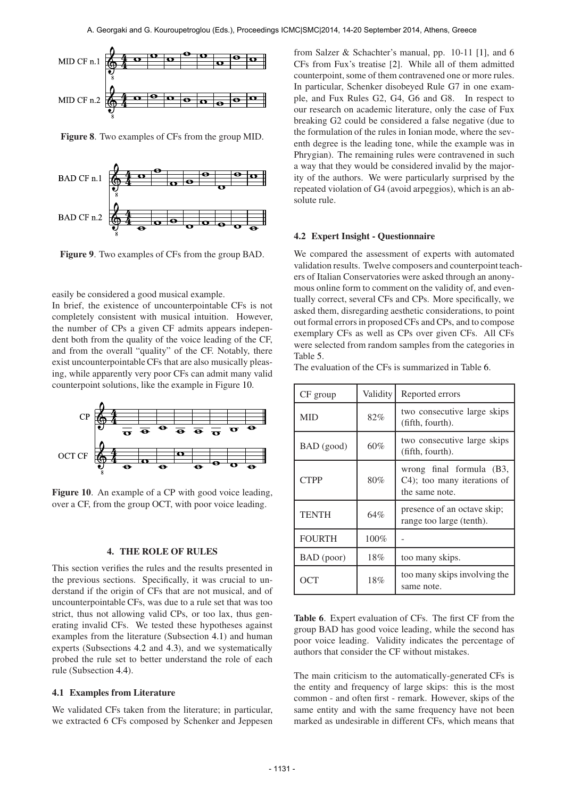

Figure 8. Two examples of CFs from the group MID.



Figure 9. Two examples of CFs from the group BAD.

easily be considered a good musical example.

In brief, the existence of uncounterpointable CFs is not completely consistent with musical intuition. However, the number of CPs a given CF admits appears independent both from the quality of the voice leading of the CF, and from the overall "quality" of the CF. Notably, there exist uncounterpointable CFs that are also musically pleasing, while apparently very poor CFs can admit many valid counterpoint solutions, like the example in Figure 10.



Figure 10. An example of a CP with good voice leading, over a CF, from the group OCT, with poor voice leading.

#### 4. THE ROLE OF RULES

This section verifies the rules and the results presented in the previous sections. Specifically, it was crucial to understand if the origin of CFs that are not musical, and of uncounterpointable CFs, was due to a rule set that was too strict, thus not allowing valid CPs, or too lax, thus generating invalid CFs. We tested these hypotheses against examples from the literature (Subsection 4.1) and human experts (Subsections 4.2 and 4.3), and we systematically probed the rule set to better understand the role of each rule (Subsection 4.4).

### 4.1 Examples from Literature

We validated CFs taken from the literature; in particular, we extracted 6 CFs composed by Schenker and Jeppesen

from Salzer & Schachter's manual, pp. 10-11 [1], and 6 CFs from Fux's treatise [2]. While all of them admitted counterpoint, some of them contravened one or more rules. In particular, Schenker disobeyed Rule G7 in one example, and Fux Rules G2, G4, G6 and G8. In respect to our research on academic literature, only the case of Fux breaking G2 could be considered a false negative (due to the formulation of the rules in Ionian mode, where the seventh degree is the leading tone, while the example was in Phrygian). The remaining rules were contravened in such a way that they would be considered invalid by the majority of the authors. We were particularly surprised by the repeated violation of G4 (avoid arpeggios), which is an absolute rule.

### 4.2 Expert Insight - Questionnaire

We compared the assessment of experts with automated validation results. Twelve composers and counterpoint teachers of Italian Conservatories were asked through an anonymous online form to comment on the validity of, and eventually correct, several CFs and CPs. More specifically, we asked them, disregarding aesthetic considerations, to point out formal errors in proposed CFs and CPs, and to compose exemplary CFs as well as CPs over given CFs. All CFs were selected from random samples from the categories in Table 5.

The evaluation of the CFs is summarized in Table 6.

| CF group      | Validity | Reported errors                                                           |
|---------------|----------|---------------------------------------------------------------------------|
| <b>MID</b>    | 82%      | two consecutive large skips<br>(fifth, fourth).                           |
| BAD (good)    | 60%      | two consecutive large skips<br>(fifth, fourth).                           |
| <b>CTPP</b>   | 80%      | wrong final formula (B3,<br>C4); too many iterations of<br>the same note. |
| <b>TENTH</b>  | 64%      | presence of an octave skip;<br>range too large (tenth).                   |
| <b>FOURTH</b> | 100%     |                                                                           |
| BAD (poor)    | 18%      | too many skips.                                                           |
| OCT           | 18%      | too many skips involving the<br>same note.                                |

Table 6. Expert evaluation of CFs. The first CF from the group BAD has good voice leading, while the second has poor voice leading. Validity indicates the percentage of authors that consider the CF without mistakes.

The main criticism to the automatically-generated CFs is the entity and frequency of large skips: this is the most common - and often first - remark. However, skips of the same entity and with the same frequency have not been marked as undesirable in different CFs, which means that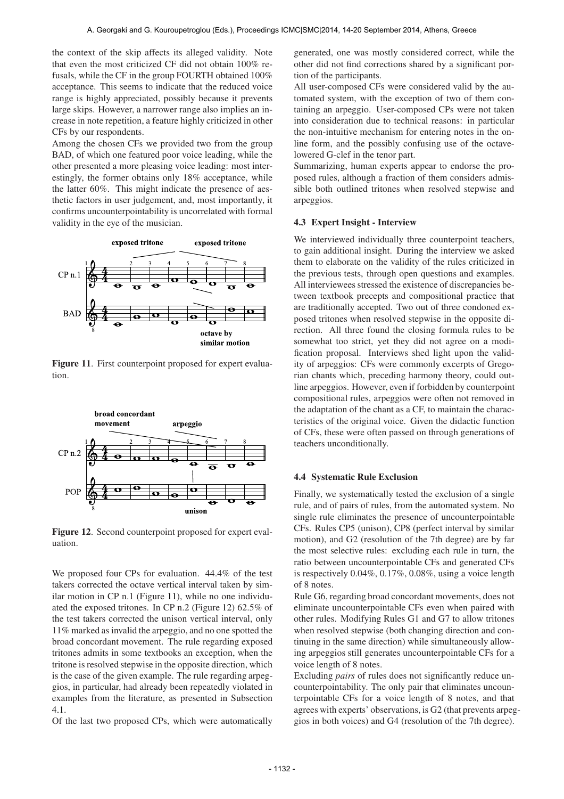the context of the skip affects its alleged validity. Note that even the most criticized CF did not obtain 100% refusals, while the CF in the group FOURTH obtained 100% acceptance. This seems to indicate that the reduced voice range is highly appreciated, possibly because it prevents large skips. However, a narrower range also implies an increase in note repetition, a feature highly criticized in other CFs by our respondents.

Among the chosen CFs we provided two from the group BAD, of which one featured poor voice leading, while the other presented a more pleasing voice leading: most interestingly, the former obtains only 18% acceptance, while the latter 60%. This might indicate the presence of aesthetic factors in user judgement, and, most importantly, it confirms uncounterpointability is uncorrelated with formal validity in the eye of the musician.



Figure 11. First counterpoint proposed for expert evaluation.



Figure 12. Second counterpoint proposed for expert evaluation.

We proposed four CPs for evaluation. 44.4% of the test takers corrected the octave vertical interval taken by similar motion in CP n.1 (Figure 11), while no one individuated the exposed tritones. In CP n.2 (Figure 12) 62.5% of the test takers corrected the unison vertical interval, only 11% marked as invalid the arpeggio, and no one spotted the broad concordant movement. The rule regarding exposed tritones admits in some textbooks an exception, when the tritone is resolved stepwise in the opposite direction, which is the case of the given example. The rule regarding arpeggios, in particular, had already been repeatedly violated in examples from the literature, as presented in Subsection 4.1.

Of the last two proposed CPs, which were automatically

generated, one was mostly considered correct, while the other did not find corrections shared by a significant portion of the participants.

All user-composed CFs were considered valid by the automated system, with the exception of two of them containing an arpeggio. User-composed CPs were not taken into consideration due to technical reasons: in particular the non-intuitive mechanism for entering notes in the online form, and the possibly confusing use of the octavelowered G-clef in the tenor part.

Summarizing, human experts appear to endorse the proposed rules, although a fraction of them considers admissible both outlined tritones when resolved stepwise and arpeggios.

# 4.3 Expert Insight - Interview

We interviewed individually three counterpoint teachers, to gain additional insight. During the interview we asked them to elaborate on the validity of the rules criticized in the previous tests, through open questions and examples. All interviewees stressed the existence of discrepancies between textbook precepts and compositional practice that are traditionally accepted. Two out of three condoned exposed tritones when resolved stepwise in the opposite direction. All three found the closing formula rules to be somewhat too strict, yet they did not agree on a modification proposal. Interviews shed light upon the validity of arpeggios: CFs were commonly excerpts of Gregorian chants which, preceding harmony theory, could outline arpeggios. However, even if forbidden by counterpoint compositional rules, arpeggios were often not removed in the adaptation of the chant as a CF, to maintain the characteristics of the original voice. Given the didactic function of CFs, these were often passed on through generations of teachers unconditionally.

### 4.4 Systematic Rule Exclusion

Finally, we systematically tested the exclusion of a single rule, and of pairs of rules, from the automated system. No single rule eliminates the presence of uncounterpointable CFs. Rules CP5 (unison), CP8 (perfect interval by similar motion), and G2 (resolution of the 7th degree) are by far the most selective rules: excluding each rule in turn, the ratio between uncounterpointable CFs and generated CFs is respectively 0.04%, 0.17%, 0.08%, using a voice length of 8 notes.

Rule G6, regarding broad concordant movements, does not eliminate uncounterpointable CFs even when paired with other rules. Modifying Rules G1 and G7 to allow tritones when resolved stepwise (both changing direction and continuing in the same direction) while simultaneously allowing arpeggios still generates uncounterpointable CFs for a voice length of 8 notes.

Excluding *pairs* of rules does not significantly reduce uncounterpointability. The only pair that eliminates uncounterpointable CFs for a voice length of 8 notes, and that agrees with experts' observations, is G2 (that prevents arpeggios in both voices) and G4 (resolution of the 7th degree).